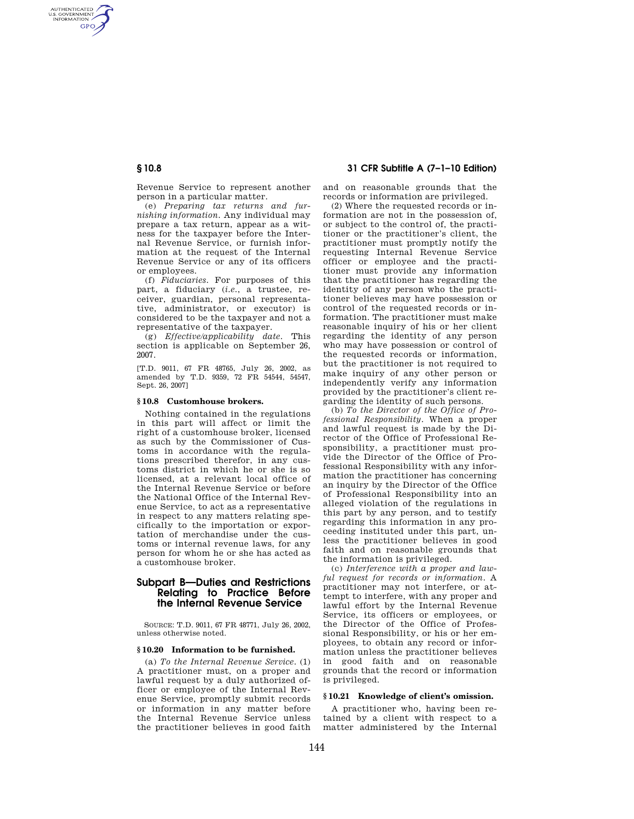## **§ 10.8 31 CFR Subtitle A (7–1–10 Edition)**

Revenue Service to represent another person in a particular matter.

(e) *Preparing tax returns and furnishing information.* Any individual may prepare a tax return, appear as a witness for the taxpayer before the Internal Revenue Service, or furnish information at the request of the Internal Revenue Service or any of its officers or employees.

(f) *Fiduciaries.* For purposes of this part, a fiduciary (*i.e.*, a trustee, receiver, guardian, personal representative, administrator, or executor) is considered to be the taxpayer and not a representative of the taxpayer.

(g) *Effective/applicability date.* This section is applicable on September 26, 2007.

[T.D. 9011, 67 FR 48765, July 26, 2002, as amended by T.D. 9359, 72 FR 54544, 54547, Sept. 26, 2007]

#### **§ 10.8 Customhouse brokers.**

Nothing contained in the regulations in this part will affect or limit the right of a customhouse broker, licensed as such by the Commissioner of Customs in accordance with the regulations prescribed therefor, in any customs district in which he or she is so licensed, at a relevant local office of the Internal Revenue Service or before the National Office of the Internal Revenue Service, to act as a representative in respect to any matters relating specifically to the importation or exportation of merchandise under the customs or internal revenue laws, for any person for whom he or she has acted as a customhouse broker.

# **Subpart B—Duties and Restrictions Relating to Practice Before the Internal Revenue Service**

SOURCE: T.D. 9011, 67 FR 48771, July 26, 2002, unless otherwise noted.

## **§ 10.20 Information to be furnished.**

(a) *To the Internal Revenue Service.* (1) A practitioner must, on a proper and lawful request by a duly authorized officer or employee of the Internal Revenue Service, promptly submit records or information in any matter before the Internal Revenue Service unless the practitioner believes in good faith and on reasonable grounds that the records or information are privileged.

(2) Where the requested records or information are not in the possession of, or subject to the control of, the practitioner or the practitioner's client, the practitioner must promptly notify the requesting Internal Revenue Service officer or employee and the practitioner must provide any information that the practitioner has regarding the identity of any person who the practitioner believes may have possession or control of the requested records or information. The practitioner must make reasonable inquiry of his or her client regarding the identity of any person who may have possession or control of the requested records or information, but the practitioner is not required to make inquiry of any other person or independently verify any information provided by the practitioner's client regarding the identity of such persons.

(b) *To the Director of the Office of Professional Responsibility.* When a proper and lawful request is made by the Director of the Office of Professional Responsibility, a practitioner must provide the Director of the Office of Professional Responsibility with any information the practitioner has concerning an inquiry by the Director of the Office of Professional Responsibility into an alleged violation of the regulations in this part by any person, and to testify regarding this information in any proceeding instituted under this part, unless the practitioner believes in good faith and on reasonable grounds that the information is privileged.

(c) *Interference with a proper and lawful request for records or information.* A practitioner may not interfere, or attempt to interfere, with any proper and lawful effort by the Internal Revenue Service, its officers or employees, or the Director of the Office of Professional Responsibility, or his or her employees, to obtain any record or information unless the practitioner believes in good faith and on reasonable grounds that the record or information is privileged.

# **§ 10.21 Knowledge of client's omission.**

A practitioner who, having been retained by a client with respect to a matter administered by the Internal

AUTHENTICATED<br>U.S. GOVERNMENT<br>INFORMATION **GPO**